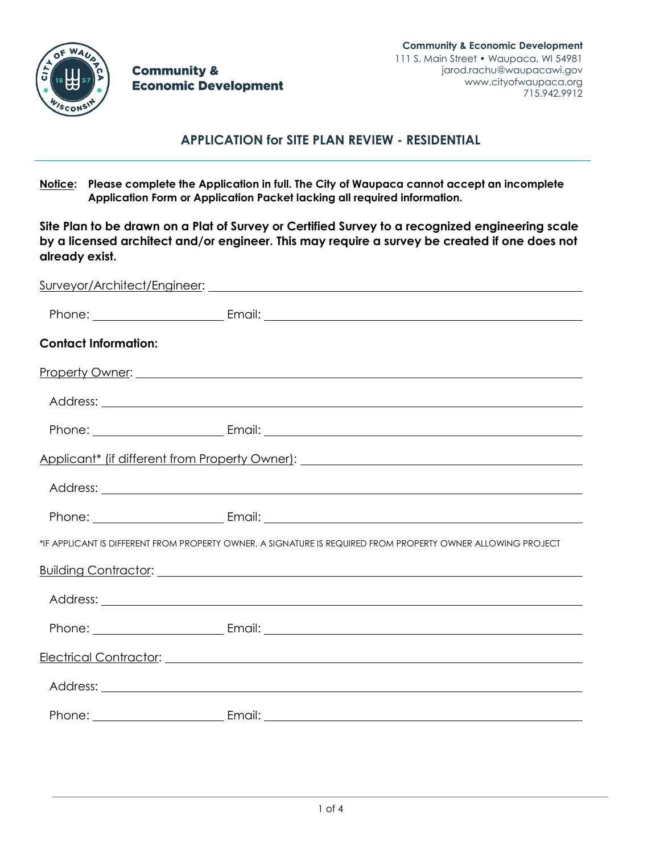

**Community & Economic Development** 

# **APPLICATION for SITE PLAN REVIEW - RESIDENTIAL**

**Notice: Please complete the Application in full. The City of Waupaca cannot accept an incomplete Application Form or Application Packet lacking all required information.**

**Site Plan to be drawn on a Plat of Survey or Certified Survey to a recognized engineering scale by a licensed architect and/or engineer. This may require a survey be created if one does not already exist.**

| <b>Contact Information:</b> |                                                                                                                                                                                                                                     |
|-----------------------------|-------------------------------------------------------------------------------------------------------------------------------------------------------------------------------------------------------------------------------------|
|                             |                                                                                                                                                                                                                                     |
|                             |                                                                                                                                                                                                                                     |
|                             |                                                                                                                                                                                                                                     |
|                             | Applicant* (if different from Property Owner): National Applicant Applicant Applicant Applicant Applicant Applicant Applicant Applicant Applicant Applicant Applicant Applicant Applicant Applicant Applicant Applicant Applic      |
|                             |                                                                                                                                                                                                                                     |
|                             |                                                                                                                                                                                                                                     |
|                             | *IF APPLICANT IS DIFFERENT FROM PROPERTY OWNER, A SIGNATURE IS REQUIRED FROM PROPERTY OWNER ALLOWING PROJECT                                                                                                                        |
|                             | Building Contractor: <u>contractor</u> and the contract of the contract of the contractor of the contractor of the contractor of the contractor of the contractor of the contractor of the contractor of the contractor of the cont |
|                             |                                                                                                                                                                                                                                     |
|                             |                                                                                                                                                                                                                                     |
|                             |                                                                                                                                                                                                                                     |
|                             |                                                                                                                                                                                                                                     |
|                             |                                                                                                                                                                                                                                     |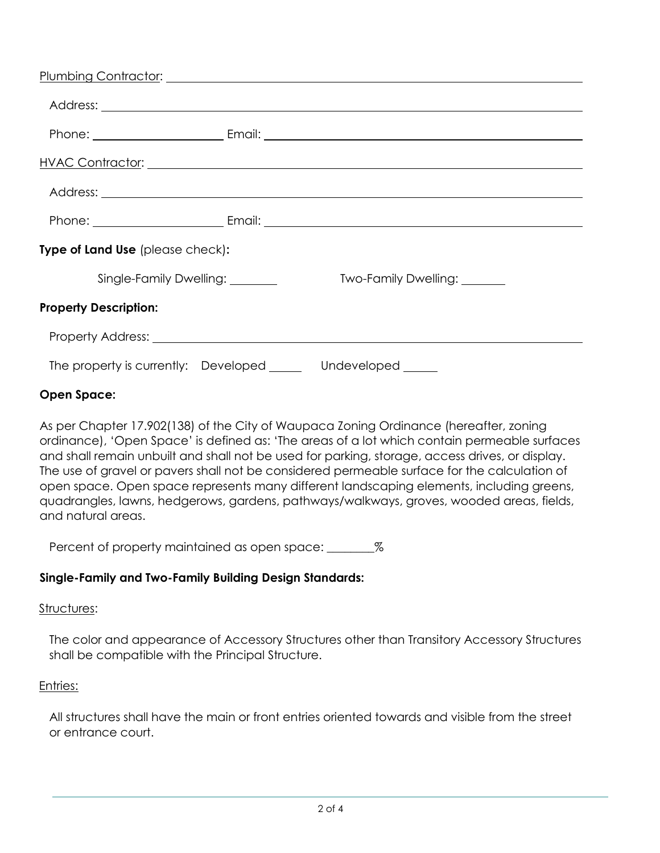| Address: <u>example and a series of the series of the series of the series of the series of the series of the series of the series of the series of the series of the series of the series of the series of the series of the se</u> |                              |
|--------------------------------------------------------------------------------------------------------------------------------------------------------------------------------------------------------------------------------------|------------------------------|
|                                                                                                                                                                                                                                      |                              |
|                                                                                                                                                                                                                                      | <u>HVAC Contractor:</u>      |
|                                                                                                                                                                                                                                      |                              |
|                                                                                                                                                                                                                                      |                              |
| Type of Land Use (please check):                                                                                                                                                                                                     |                              |
| Single-Family Dwelling: ________                                                                                                                                                                                                     | Two-Family Dwelling: _______ |
| <b>Property Description:</b>                                                                                                                                                                                                         |                              |
|                                                                                                                                                                                                                                      |                              |
| The property is currently: Developed ______ Undeveloped _____                                                                                                                                                                        |                              |

# **Open Space:**

As per Chapter 17.902(138) of the City of Waupaca Zoning Ordinance (hereafter, zoning ordinance), 'Open Space' is defined as: 'The areas of a lot which contain permeable surfaces and shall remain unbuilt and shall not be used for parking, storage, access drives, or display. The use of gravel or pavers shall not be considered permeable surface for the calculation of open space. Open space represents many different landscaping elements, including greens, quadrangles, lawns, hedgerows, gardens, pathways/walkways, groves, wooded areas, fields, and natural areas.

Percent of property maintained as open space: \_\_\_\_\_\_\_\_\_%

# **Single-Family and Two-Family Building Design Standards:**

### Structures:

The color and appearance of Accessory Structures other than Transitory Accessory Structures shall be compatible with the Principal Structure.

# Entries:

All structures shall have the main or front entries oriented towards and visible from the street or entrance court.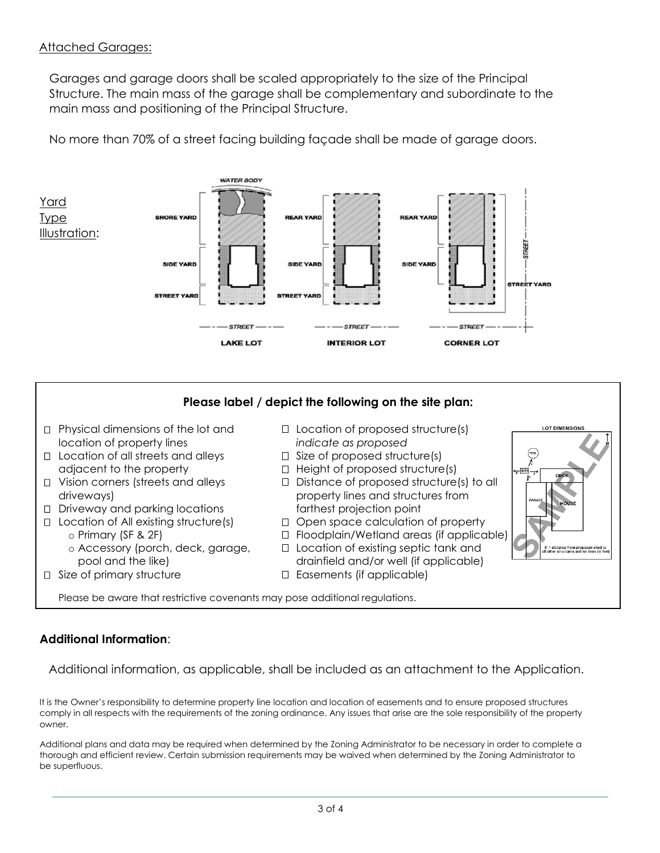# Attached Garages:

Garages and garage doors shall be scaled appropriately to the size of the Principal Structure. The main mass of the garage shall be complementary and subordinate to the main mass and positioning of the Principal Structure.

No more than 70% of a street facing building façade shall be made of garage doors.



### **Please label / depict the following on the site plan:**  $\Box$  Physical dimensions of the lot and  $\Box$  Location of proposed structure(s) OT DIMENSIC location of property lines *indicate as proposed*  $\sqrt{100}$  $\Box$  Location of all streets and alleys  $\Box$  Size of proposed structure(s) adjacent to the property  $\Box$  Height of proposed structure(s)  $\Box$  Vision corners (streets and alleys  $\Box$  Distance of proposed structure(s) to all driveways) property lines and structures from Driveway and parking locations farthest projection point  $\Box$  Location of All existing structure(s)  $\Box$  Open space calculation of property o Primary (SF & 2F) Floodplain/Wetland areas (if applicable)  $\circ$  Accessory (porch, deck, garage,  $\Box$  Location of existing septic tank and itance from proposed shed to<br>structures and lot lines (in fer pool and the like) drainfield and/or well (if applicable)  $\Box$  Size of primary structure  $\Box$  Easements (if applicable) Please be aware that restrictive covenants may pose additional regulations.

# **Additional Information**:

Additional information, as applicable, shall be included as an attachment to the Application.

It is the Owner's responsibility to determine property line location and location of easements and to ensure proposed structures comply in all respects with the requirements of the zoning ordinance. Any issues that arise are the sole responsibility of the property owner.

Additional plans and data may be required when determined by the Zoning Administrator to be necessary in order to complete a thorough and efficient review. Certain submission requirements may be waived when determined by the Zoning Administrator to be superfluous.